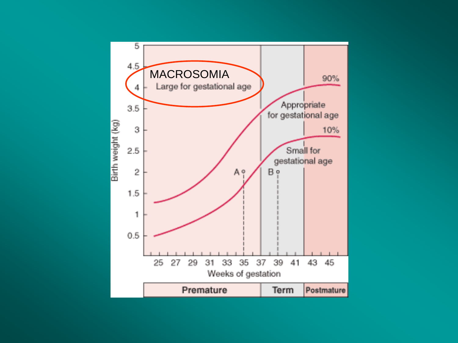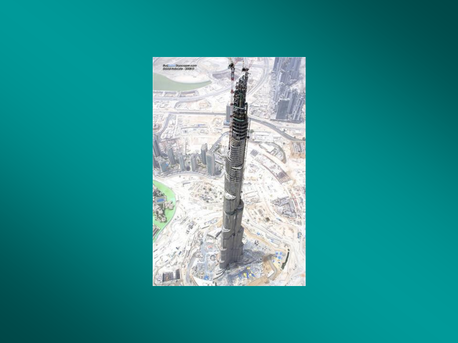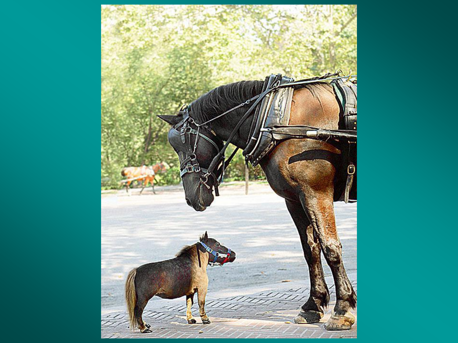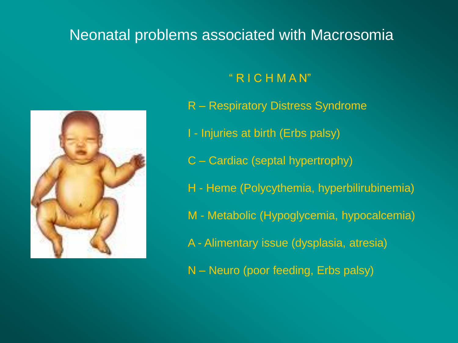### Neonatal problems associated with Macrosomia



#### $"$  R I C H M A N"

- R Respiratory Distress Syndrome
- I Injuries at birth (Erbs palsy)
- C Cardiac (septal hypertrophy)
- H Heme (Polycythemia, hyperbilirubinemia)
- M Metabolic (Hypoglycemia, hypocalcemia)
- A Alimentary issue (dysplasia, atresia)
- N Neuro (poor feeding, Erbs palsy)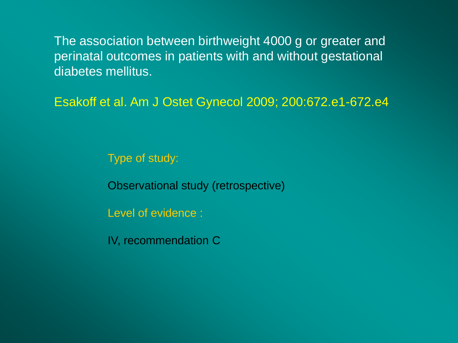The association between birthweight 4000 g or greater and perinatal outcomes in patients with and without gestational diabetes mellitus.

Esakoff et al. Am J Ostet Gynecol 2009; 200:672.e1-672.e4

Type of study:

Observational study (retrospective)

Level of evidence :

IV, recommendation C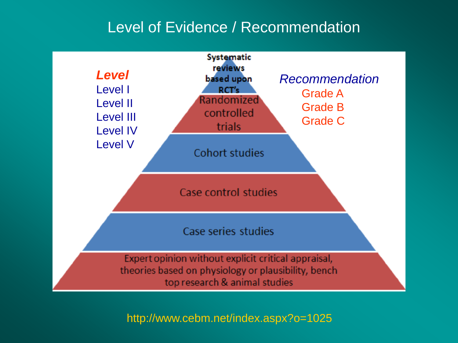### Level of Evidence / Recommendation



http://www.cebm.net/index.aspx?o=1025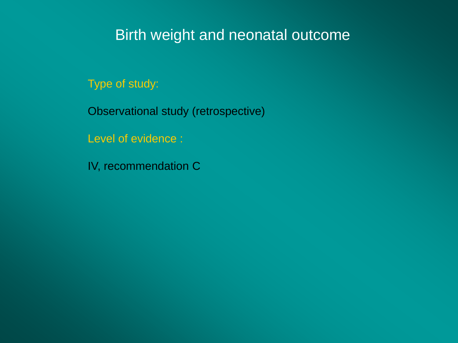## Birth weight and neonatal outcome

Type of study:

Observational study (retrospective)

Level of evidence :

IV, recommendation C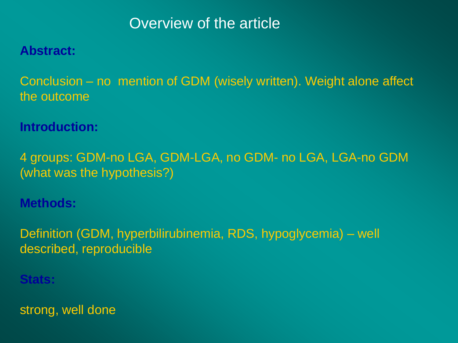# Overview of the article

**Abstract:**

Conclusion – no mention of GDM (wisely written). Weight alone affect the outcome

**Introduction:**

4 groups: GDM-no LGA, GDM-LGA, no GDM- no LGA, LGA-no GDM (what was the hypothesis?)

**Methods:**

Definition (GDM, hyperbilirubinemia, RDS, hypoglycemia) – well described, reproducible

**Stats:** 

strong, well done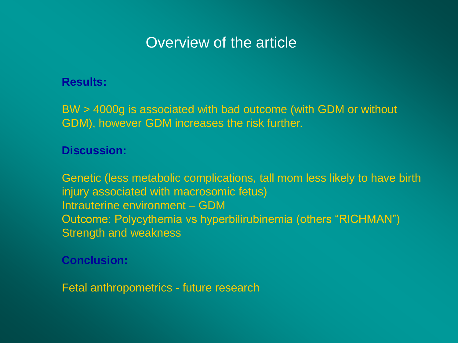# Overview of the article

**Results:**

BW > 4000g is associated with bad outcome (with GDM or without GDM), however GDM increases the risk further.

**Discussion:**

Genetic (less metabolic complications, tall mom less likely to have birth injury associated with macrosomic fetus) Intrauterine environment – GDM Outcome: Polycythemia vs hyperbilirubinemia (others "RICHMAN") Strength and weakness

**Conclusion:**

Fetal anthropometrics - future research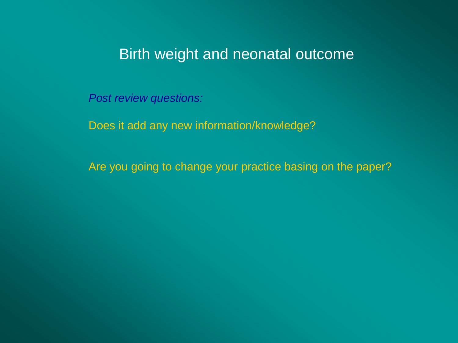#### Birth weight and neonatal outcome

*Post review questions:*

Does it add any new information/knowledge?

Are you going to change your practice basing on the paper?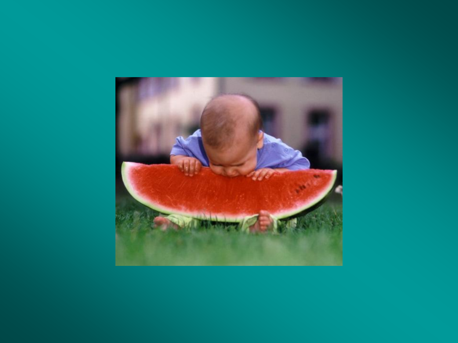